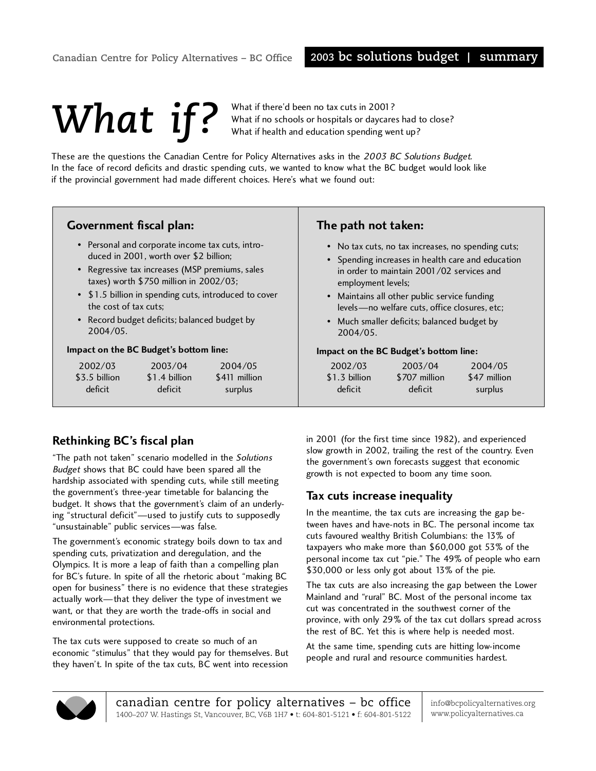# What if there'd been no tax cuts in 2001?<br>What if no schools or hospitals or daycare<br>What if health and education spending we

What if no schools or hospitals or daycares had to close? What if health and education spending went up?

These are the questions the Canadian Centre for Policy Alternatives asks in the 2003 BC Solutions Budget. In the face of record deficits and drastic spending cuts, we wanted to know what the BC budget would look like if the provincial government had made different choices. Here's what we found out:

| <b>Government fiscal plan:</b>      |                                                                                                                                                                                                                                         |                                                       | The path not taken:<br>• No tax cuts, no tax increases, no spending cuts;<br>• Spending increases in health care and education<br>in order to maintain 2001/02 services and<br>employment levels;<br>• Maintains all other public service funding<br>levels-no welfare cuts, office closures, etc;<br>• Much smaller deficits; balanced budget by<br>2004/05.<br>Impact on the BC Budget's bottom line: |                                     |                                    |  |  |
|-------------------------------------|-----------------------------------------------------------------------------------------------------------------------------------------------------------------------------------------------------------------------------------------|-------------------------------------------------------|---------------------------------------------------------------------------------------------------------------------------------------------------------------------------------------------------------------------------------------------------------------------------------------------------------------------------------------------------------------------------------------------------------|-------------------------------------|------------------------------------|--|--|
| the cost of tax cuts:<br>2004/05.   | • Personal and corporate income tax cuts, intro-<br>duced in 2001, worth over \$2 billion;<br>• Regressive tax increases (MSP premiums, sales<br>taxes) worth \$750 million in 2002/03;<br>• Record budget deficits; balanced budget by | • \$1.5 billion in spending cuts, introduced to cover |                                                                                                                                                                                                                                                                                                                                                                                                         |                                     |                                    |  |  |
|                                     | Impact on the BC Budget's bottom line:                                                                                                                                                                                                  |                                                       |                                                                                                                                                                                                                                                                                                                                                                                                         |                                     |                                    |  |  |
| 2002/03<br>\$3.5 billion<br>deficit | 2003/04<br>\$1.4 billion<br>deficit                                                                                                                                                                                                     | 2004/05<br>\$411 million<br>surplus                   | 2002/03<br>\$1.3 billion<br>deficit                                                                                                                                                                                                                                                                                                                                                                     | 2003/04<br>\$707 million<br>deficit | 2004/05<br>\$47 million<br>surplus |  |  |

## **Rethinking BC's fiscal plan**

"The path not taken" scenario modelled in the Solutions Budget shows that BC could have been spared all the hardship associated with spending cuts, while still meeting the government's three-year timetable for balancing the budget. It shows that the government's claim of an underlying "structural deficit"—used to justify cuts to supposedly "unsustainable" public services—was false.

The government's economic strategy boils down to tax and spending cuts, privatization and deregulation, and the Olympics. It is more a leap of faith than a compelling plan for BC's future. In spite of all the rhetoric about "making BC open for business" there is no evidence that these strategies actually work—that they deliver the type of investment we want, or that they are worth the trade-offs in social and environmental protections.

The tax cuts were supposed to create so much of an economic "stimulus" that they would pay for themselves. But they haven't. In spite of the tax cuts, BC went into recession

in 2001 (for the first time since 1982), and experienced slow growth in 2002, trailing the rest of the country. Even the government's own forecasts suggest that economic growth is not expected to boom any time soon.

#### **Tax cuts increase inequality**

In the meantime, the tax cuts are increasing the gap between haves and have-nots in BC. The personal income tax cuts favoured wealthy British Columbians: the 13% of taxpayers who make more than \$60,000 got 53% of the personal income tax cut "pie." The 49% of people who earn \$30,000 or less only got about 13% of the pie.

The tax cuts are also increasing the gap between the Lower Mainland and "rural" BC. Most of the personal income tax cut was concentrated in the southwest corner of the province, with only 29% of the tax cut dollars spread across the rest of BC. Yet this is where help is needed most.

At the same time, spending cuts are hitting low-income people and rural and resource communities hardest.



info@bcpolicyalternatives.org www.policyalternatives.ca